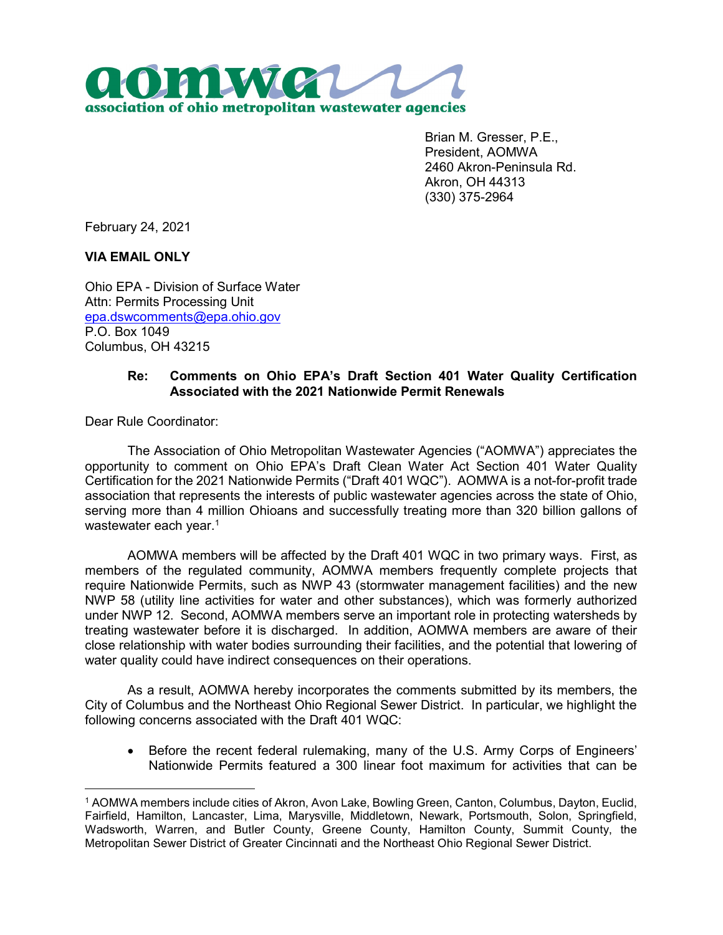

Brian M. Gresser, P.E., President, AOMWA 2460 Akron-Peninsula Rd. Akron, OH 44313 (330) 375-2964

February 24, 2021

## VIA EMAIL ONLY

Ohio EPA - Division of Surface Water Attn: Permits Processing Unit epa.dswcomments@epa.ohio.gov P.O. Box 1049 Columbus, OH 43215

## Re: Comments on Ohio EPA's Draft Section 401 Water Quality Certification Associated with the 2021 Nationwide Permit Renewals

Dear Rule Coordinator:

 $\overline{a}$ 

The Association of Ohio Metropolitan Wastewater Agencies ("AOMWA") appreciates the opportunity to comment on Ohio EPA's Draft Clean Water Act Section 401 Water Quality Certification for the 2021 Nationwide Permits ("Draft 401 WQC"). AOMWA is a not-for-profit trade association that represents the interests of public wastewater agencies across the state of Ohio, serving more than 4 million Ohioans and successfully treating more than 320 billion gallons of wastewater each year. $^\mathrm{1}$ 

AOMWA members will be affected by the Draft 401 WQC in two primary ways. First, as members of the regulated community, AOMWA members frequently complete projects that require Nationwide Permits, such as NWP 43 (stormwater management facilities) and the new NWP 58 (utility line activities for water and other substances), which was formerly authorized under NWP 12. Second, AOMWA members serve an important role in protecting watersheds by treating wastewater before it is discharged. In addition, AOMWA members are aware of their close relationship with water bodies surrounding their facilities, and the potential that lowering of water quality could have indirect consequences on their operations.

As a result, AOMWA hereby incorporates the comments submitted by its members, the City of Columbus and the Northeast Ohio Regional Sewer District. In particular, we highlight the following concerns associated with the Draft 401 WQC:

 Before the recent federal rulemaking, many of the U.S. Army Corps of Engineers' Nationwide Permits featured a 300 linear foot maximum for activities that can be

<sup>1</sup> AOMWA members include cities of Akron, Avon Lake, Bowling Green, Canton, Columbus, Dayton, Euclid, Fairfield, Hamilton, Lancaster, Lima, Marysville, Middletown, Newark, Portsmouth, Solon, Springfield, Wadsworth, Warren, and Butler County, Greene County, Hamilton County, Summit County, the Metropolitan Sewer District of Greater Cincinnati and the Northeast Ohio Regional Sewer District.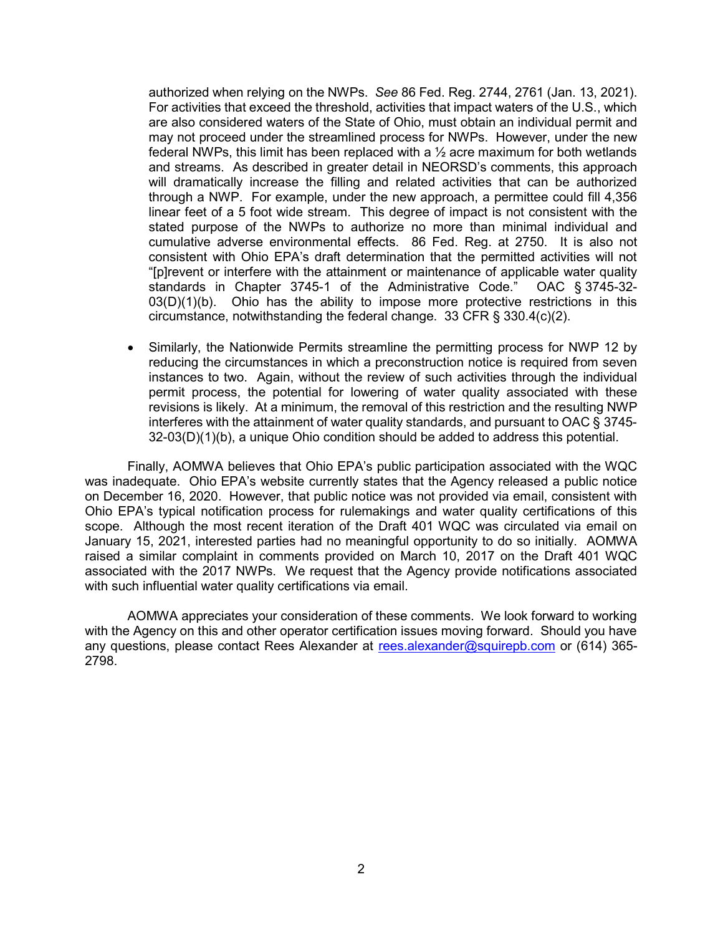authorized when relying on the NWPs. See 86 Fed. Reg. 2744, 2761 (Jan. 13, 2021). For activities that exceed the threshold, activities that impact waters of the U.S., which are also considered waters of the State of Ohio, must obtain an individual permit and may not proceed under the streamlined process for NWPs. However, under the new federal NWPs, this limit has been replaced with a  $\frac{1}{2}$  acre maximum for both wetlands and streams. As described in greater detail in NEORSD's comments, this approach will dramatically increase the filling and related activities that can be authorized through a NWP. For example, under the new approach, a permittee could fill 4,356 linear feet of a 5 foot wide stream. This degree of impact is not consistent with the stated purpose of the NWPs to authorize no more than minimal individual and cumulative adverse environmental effects. 86 Fed. Reg. at 2750. It is also not consistent with Ohio EPA's draft determination that the permitted activities will not "[p]revent or interfere with the attainment or maintenance of applicable water quality standards in Chapter 3745-1 of the Administrative Code." OAC § 3745-32- 03(D)(1)(b). Ohio has the ability to impose more protective restrictions in this circumstance, notwithstanding the federal change. 33 CFR § 330.4(c)(2).

 Similarly, the Nationwide Permits streamline the permitting process for NWP 12 by reducing the circumstances in which a preconstruction notice is required from seven instances to two. Again, without the review of such activities through the individual permit process, the potential for lowering of water quality associated with these revisions is likely. At a minimum, the removal of this restriction and the resulting NWP interferes with the attainment of water quality standards, and pursuant to OAC § 3745-  $32-03(D)(1)(b)$ , a unique Ohio condition should be added to address this potential.

Finally, AOMWA believes that Ohio EPA's public participation associated with the WQC was inadequate. Ohio EPA's website currently states that the Agency released a public notice on December 16, 2020. However, that public notice was not provided via email, consistent with Ohio EPA's typical notification process for rulemakings and water quality certifications of this scope. Although the most recent iteration of the Draft 401 WQC was circulated via email on January 15, 2021, interested parties had no meaningful opportunity to do so initially. AOMWA raised a similar complaint in comments provided on March 10, 2017 on the Draft 401 WQC associated with the 2017 NWPs. We request that the Agency provide notifications associated with such influential water quality certifications via email.

AOMWA appreciates your consideration of these comments. We look forward to working with the Agency on this and other operator certification issues moving forward. Should you have any questions, please contact Rees Alexander at rees.alexander@squirepb.com or (614) 365- 2798.